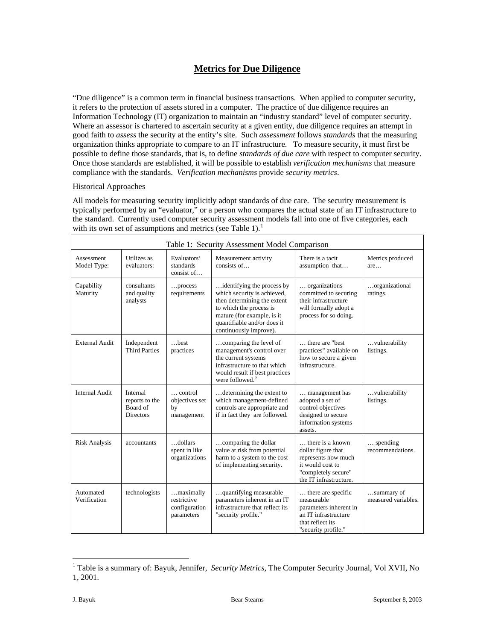### **Metrics for Due Diligence**

"Due diligence" is a common term in financial business transactions. When applied to computer security, it refers to the protection of assets stored in a computer. The practice of due diligence requires an Information Technology (IT) organization to maintain an "industry standard" level of computer security. Where an assessor is chartered to ascertain security at a given entity, due diligence requires an attempt in good faith to *assess* the security at the entity's site. Such *assessment* follows *standards* that the measuring organization thinks appropriate to compare to an IT infrastructure. To measure security, it must first be possible to define those standards, that is, to define *standards of due care* with respect to computer security. Once those standards are established, it will be possible to establish *verification mechanisms* that measure compliance with the standards. *Verification mechanisms* provide *security metrics*.

### Historical Approaches

All models for measuring security implicitly adopt standards of due care. The security measurement is typically performed by an "evaluator," or a person who compares the actual state of an IT infrastructure to the standard. Currently used computer security assessment models fall into one of five categories, each with its own set of assumptions and metrics (see Table [1](#page-0-0)).<sup>1</sup>

| Table 1: Security Assessment Model Comparison |                                                            |                                                         |                                                                                                                                                                                                            |                                                                                                                                    |                                       |  |  |
|-----------------------------------------------|------------------------------------------------------------|---------------------------------------------------------|------------------------------------------------------------------------------------------------------------------------------------------------------------------------------------------------------------|------------------------------------------------------------------------------------------------------------------------------------|---------------------------------------|--|--|
| Assessment<br>Model Type:                     | Utilizes as<br>evaluators:                                 | Evaluators'<br>standards<br>consist of                  | Measurement activity<br>consists of                                                                                                                                                                        | There is a tacit<br>assumption that                                                                                                | Metrics produced<br>are               |  |  |
| Capability<br>Maturity                        | consultants<br>and quality<br>analysts                     | process<br>requirements                                 | identifying the process by<br>which security is achieved,<br>then determining the extent<br>to which the process is<br>mature (for example, is it<br>quantifiable and/or does it<br>continuously improve). | organizations<br>committed to securing<br>their infrastructure<br>will formally adopt a<br>process for so doing.                   | organizational<br>ratings.            |  |  |
| External Audit                                | Independent<br><b>Third Parties</b>                        | $$ hest<br>practices                                    | comparing the level of<br>management's control over<br>the current systems<br>infrastructure to that which<br>would result if best practices<br>were followed. $2$                                         | there are "best<br>practices" available on<br>how to secure a given<br>infrastructure.                                             | vulnerability<br>listings.            |  |  |
| Internal Audit                                | Internal<br>reports to the<br>Board of<br><b>Directors</b> | $\ldots$ control<br>objectives set<br>by<br>management  | determining the extent to<br>which management-defined<br>controls are appropriate and<br>if in fact they are followed.                                                                                     | management has<br>adopted a set of<br>control objectives<br>designed to secure<br>information systems<br>assets.                   | vulnerability<br>listings.            |  |  |
| <b>Risk Analysis</b>                          | accountants                                                | dollars<br>spent in like<br>organizations               | comparing the dollar<br>value at risk from potential<br>harm to a system to the cost<br>of implementing security.                                                                                          | there is a known<br>dollar figure that<br>represents how much<br>it would cost to<br>"completely secure"<br>the IT infrastructure. | $\ldots$ spending<br>recommendations. |  |  |
| Automated<br>Verification                     | technologists                                              | maximally<br>restrictive<br>configuration<br>parameters | quantifying measurable<br>parameters inherent in an IT<br>infrastructure that reflect its<br>"security profile."                                                                                           | there are specific<br>measurable<br>parameters inherent in<br>an IT infrastructure<br>that reflect its<br>"security profile."      | summary of<br>measured variables.     |  |  |

<span id="page-0-1"></span><span id="page-0-0"></span> $\overline{a}$ <sup>1</sup> Table is a summary of: Bayuk, Jennifer, *Security Metrics*, The Computer Security Journal, Vol XVII, No 1, 2001.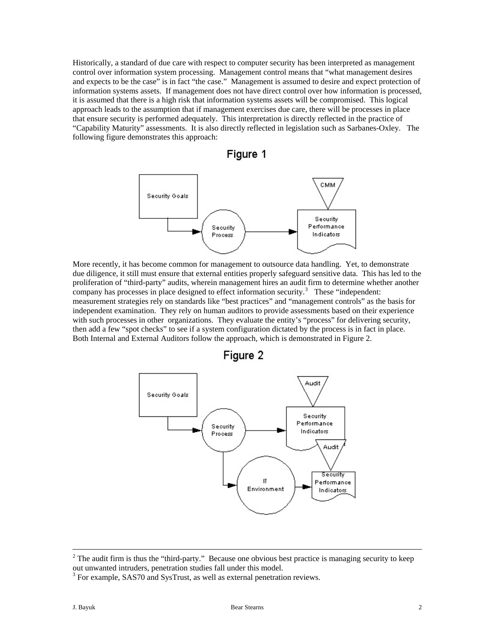Historically, a standard of due care with respect to computer security has been interpreted as management control over information system processing. Management control means that "what management desires and expects to be the case" is in fact "the case." Management is assumed to desire and expect protection of information systems assets. If management does not have direct control over how information is processed, it is assumed that there is a high risk that information systems assets will be compromised. This logical approach leads to the assumption that if management exercises due care, there will be processes in place that ensure security is performed adequately. This interpretation is directly reflected in the practice of "Capability Maturity" assessments. It is also directly reflected in legislation such as Sarbanes-Oxley. The following figure demonstrates this approach:





More recently, it has become common for management to outsource data handling. Yet, to demonstrate due diligence, it still must ensure that external entities properly safeguard sensitive data. This has led to the proliferation of "third-party" audits, wherein management hires an audit firm to determine whether another company has processes in place designed to effect information security.<sup>[3](#page-1-0)</sup> These "independent: measurement strategies rely on standards like "best practices" and "management controls" as the basis for independent examination. They rely on human auditors to provide assessments based on their experience with such processes in other organizations. They evaluate the entity's "process" for delivering security, then add a few "spot checks" to see if a system configuration dictated by the process is in fact in place. Both Internal and External Auditors follow the approach, which is demonstrated in Figure 2.



Figure 2

 $\frac{1}{2}$  $2$  The audit firm is thus the "third-party." Because one obvious best practice is managing security to keep out unwanted intruders, penetration studies fall under this model.

<span id="page-1-0"></span><sup>&</sup>lt;sup>3</sup> For example, SAS70 and SysTrust, as well as external penetration reviews.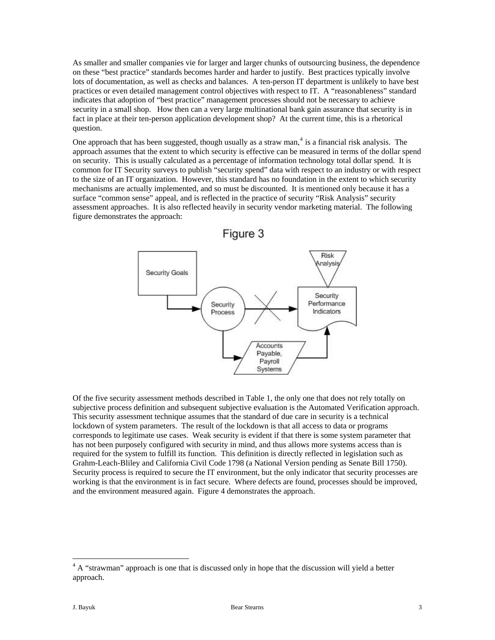As smaller and smaller companies vie for larger and larger chunks of outsourcing business, the dependence on these "best practice" standards becomes harder and harder to justify. Best practices typically involve lots of documentation, as well as checks and balances. A ten-person IT department is unlikely to have best practices or even detailed management control objectives with respect to IT. A "reasonableness" standard indicates that adoption of "best practice" management processes should not be necessary to achieve security in a small shop. How then can a very large multinational bank gain assurance that security is in fact in place at their ten-person application development shop? At the current time, this is a rhetorical question.

One approach that has been suggested, though usually as a straw man,  $4$  is a financial risk analysis. The approach assumes that the extent to which security is effective can be measured in terms of the dollar spend on security. This is usually calculated as a percentage of information technology total dollar spend. It is common for IT Security surveys to publish "security spend" data with respect to an industry or with respect to the size of an IT organization. However, this standard has no foundation in the extent to which security mechanisms are actually implemented, and so must be discounted. It is mentioned only because it has a surface "common sense" appeal, and is reflected in the practice of security "Risk Analysis" security assessment approaches. It is also reflected heavily in security vendor marketing material. The following figure demonstrates the approach:



Of the five security assessment methods described in Table 1, the only one that does not rely totally on subjective process definition and subsequent subjective evaluation is the Automated Verification approach. This security assessment technique assumes that the standard of due care in security is a technical lockdown of system parameters. The result of the lockdown is that all access to data or programs corresponds to legitimate use cases. Weak security is evident if that there is some system parameter that has not been purposely configured with security in mind, and thus allows more systems access than is required for the system to fulfill its function. This definition is directly reflected in legislation such as Grahm-Leach-Bliley and California Civil Code 1798 (a National Version pending as Senate Bill 1750). Security process is required to secure the IT environment, but the only indicator that security processes are working is that the environment is in fact secure. Where defects are found, processes should be improved, and the environment measured again. Figure 4 demonstrates the approach.

<span id="page-2-0"></span> $4 A$  "strawman" approach is one that is discussed only in hope that the discussion will yield a better approach.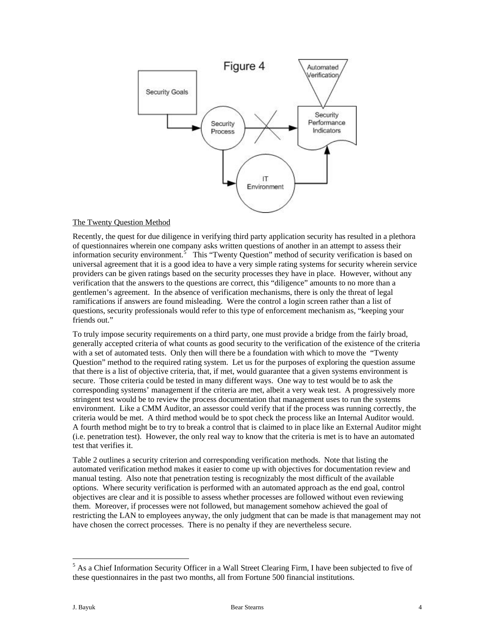

### The Twenty Question Method

Recently, the quest for due diligence in verifying third party application security has resulted in a plethora of questionnaires wherein one company asks written questions of another in an attempt to assess their information security environment.<sup>[5](#page-3-0)</sup> This "Twenty Question" method of security verification is based on universal agreement that it is a good idea to have a very simple rating systems for security wherein service providers can be given ratings based on the security processes they have in place. However, without any verification that the answers to the questions are correct, this "diligence" amounts to no more than a gentlemen's agreement. In the absence of verification mechanisms, there is only the threat of legal ramifications if answers are found misleading. Were the control a login screen rather than a list of questions, security professionals would refer to this type of enforcement mechanism as, "keeping your friends out."

To truly impose security requirements on a third party, one must provide a bridge from the fairly broad, generally accepted criteria of what counts as good security to the verification of the existence of the criteria with a set of automated tests. Only then will there be a foundation with which to move the "Twenty" Question" method to the required rating system. Let us for the purposes of exploring the question assume that there is a list of objective criteria, that, if met, would guarantee that a given systems environment is secure. Those criteria could be tested in many different ways. One way to test would be to ask the corresponding systems' management if the criteria are met, albeit a very weak test. A progressively more stringent test would be to review the process documentation that management uses to run the systems environment. Like a CMM Auditor, an assessor could verify that if the process was running correctly, the criteria would be met. A third method would be to spot check the process like an Internal Auditor would. A fourth method might be to try to break a control that is claimed to in place like an External Auditor might (i.e. penetration test). However, the only real way to know that the criteria is met is to have an automated test that verifies it.

Table 2 outlines a security criterion and corresponding verification methods. Note that listing the automated verification method makes it easier to come up with objectives for documentation review and manual testing. Also note that penetration testing is recognizably the most difficult of the available options. Where security verification is performed with an automated approach as the end goal, control objectives are clear and it is possible to assess whether processes are followed without even reviewing them. Moreover, if processes were not followed, but management somehow achieved the goal of restricting the LAN to employees anyway, the only judgment that can be made is that management may not have chosen the correct processes. There is no penalty if they are nevertheless secure.

<span id="page-3-0"></span><sup>&</sup>lt;sup>5</sup> As a Chief Information Security Officer in a Wall Street Clearing Firm, I have been subjected to five of these questionnaires in the past two months, all from Fortune 500 financial institutions.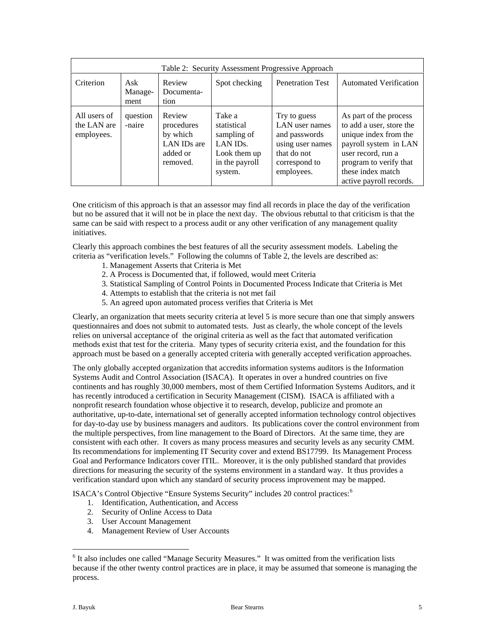| Table 2: Security Assessment Progressive Approach |                        |                                                                         |                                                                                                            |                                                                                                                   |                                                                                                                                                                                                      |  |
|---------------------------------------------------|------------------------|-------------------------------------------------------------------------|------------------------------------------------------------------------------------------------------------|-------------------------------------------------------------------------------------------------------------------|------------------------------------------------------------------------------------------------------------------------------------------------------------------------------------------------------|--|
| Criterion                                         | Ask<br>Manage-<br>ment | Review<br>Documenta-<br>tion                                            | Spot checking                                                                                              | <b>Penetration Test</b>                                                                                           | <b>Automated Verification</b>                                                                                                                                                                        |  |
| All users of<br>the LAN are<br>employees.         | question<br>-naire     | Review<br>procedures<br>by which<br>LAN IDs are<br>added or<br>removed. | Take a<br>statistical<br>sampling of<br>LAN ID <sub>s</sub> .<br>Look them up<br>in the payroll<br>system. | Try to guess<br>LAN user names<br>and passwords<br>using user names<br>that do not<br>correspond to<br>employees. | As part of the process<br>to add a user, store the<br>unique index from the<br>payroll system in LAN<br>user record, run a<br>program to verify that<br>these index match<br>active payroll records. |  |

One criticism of this approach is that an assessor may find all records in place the day of the verification but no be assured that it will not be in place the next day. The obvious rebuttal to that criticism is that the same can be said with respect to a process audit or any other verification of any management quality initiatives.

Clearly this approach combines the best features of all the security assessment models. Labeling the criteria as "verification levels." Following the columns of Table 2, the levels are described as:

- 1. Management Asserts that Criteria is Met
- 2. A Process is Documented that, if followed, would meet Criteria
- 3. Statistical Sampling of Control Points in Documented Process Indicate that Criteria is Met
- 4. Attempts to establish that the criteria is not met fail
- 5. An agreed upon automated process verifies that Criteria is Met

Clearly, an organization that meets security criteria at level 5 is more secure than one that simply answers questionnaires and does not submit to automated tests. Just as clearly, the whole concept of the levels relies on universal acceptance of the original criteria as well as the fact that automated verification methods exist that test for the criteria. Many types of security criteria exist, and the foundation for this approach must be based on a generally accepted criteria with generally accepted verification approaches.

The only globally accepted organization that accredits information systems auditors is the Information Systems Audit and Control Association (ISACA). It operates in over a hundred countries on five continents and has roughly 30,000 members, most of them Certified Information Systems Auditors, and it has recently introduced a certification in Security Management (CISM). ISACA is affiliated with a nonprofit research foundation whose objective it to research, develop, publicize and promote an authoritative, up-to-date, international set of generally accepted information technology control objectives for day-to-day use by business managers and auditors. Its publications cover the control environment from the multiple perspectives, from line management to the Board of Directors. At the same time, they are consistent with each other. It covers as many process measures and security levels as any security CMM. Its recommendations for implementing IT Security cover and extend BS17799. Its Management Process Goal and Performance Indicators cover ITIL. Moreover, it is the only published standard that provides directions for measuring the security of the systems environment in a standard way. It thus provides a verification standard upon which any standard of security process improvement may be mapped.

ISACA's Control Objective "Ensure Systems Security" includes 20 control practices:[6](#page-4-0)

- 1. Identification, Authentication, and Access
- 2. Security of Online Access to Data
- 3. User Account Management
- 4. Management Review of User Accounts

<span id="page-4-0"></span><sup>&</sup>lt;sup>6</sup> It also includes one called "Manage Security Measures." It was omitted from the verification lists because if the other twenty control practices are in place, it may be assumed that someone is managing the process.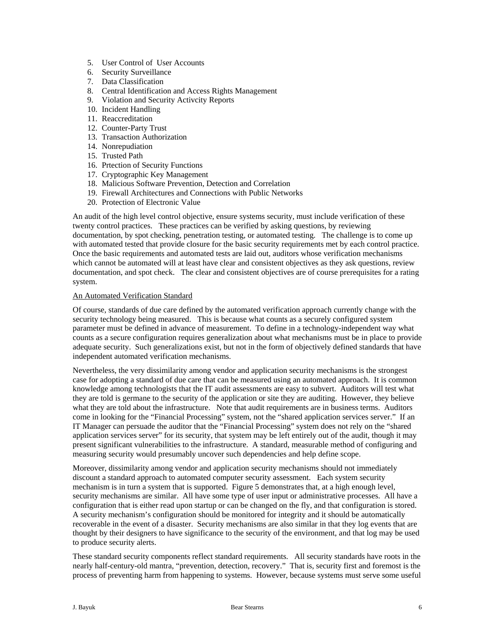- 5. User Control of User Accounts
- 6. Security Surveillance
- 7. Data Classification
- 8. Central Identification and Access Rights Management
- 9. Violation and Security Activcity Reports
- 10. Incident Handling
- 11. Reaccreditation
- 12. Counter-Party Trust
- 13. Transaction Authorization
- 14. Nonrepudiation
- 15. Trusted Path
- 16. Prtection of Security Functions
- 17. Cryptographic Key Management
- 18. Malicious Software Prevention, Detection and Correlation
- 19. Firewall Architectures and Connections with Public Networks
- 20. Protection of Electronic Value

An audit of the high level control objective, ensure systems security, must include verification of these twenty control practices. These practices can be verified by asking questions, by reviewing documentation, by spot checking, penetration testing, or automated testing. The challenge is to come up with automated tested that provide closure for the basic security requirements met by each control practice. Once the basic requirements and automated tests are laid out, auditors whose verification mechanisms which cannot be automated will at least have clear and consistent objectives as they ask questions, review documentation, and spot check. The clear and consistent objectives are of course prerequisites for a rating system.

#### An Automated Verification Standard

Of course, standards of due care defined by the automated verification approach currently change with the security technology being measured. This is because what counts as a securely configured system parameter must be defined in advance of measurement. To define in a technology-independent way what counts as a secure configuration requires generalization about what mechanisms must be in place to provide adequate security. Such generalizations exist, but not in the form of objectively defined standards that have independent automated verification mechanisms.

Nevertheless, the very dissimilarity among vendor and application security mechanisms is the strongest case for adopting a standard of due care that can be measured using an automated approach. It is common knowledge among technologists that the IT audit assessments are easy to subvert. Auditors will test what they are told is germane to the security of the application or site they are auditing. However, they believe what they are told about the infrastructure. Note that audit requirements are in business terms. Auditors come in looking for the "Financial Processing" system, not the "shared application services server." If an IT Manager can persuade the auditor that the "Financial Processing" system does not rely on the "shared application services server" for its security, that system may be left entirely out of the audit, though it may present significant vulnerabilities to the infrastructure. A standard, measurable method of configuring and measuring security would presumably uncover such dependencies and help define scope.

Moreover, dissimilarity among vendor and application security mechanisms should not immediately discount a standard approach to automated computer security assessment. Each system security mechanism is in turn a system that is supported. Figure 5 demonstrates that, at a high enough level, security mechanisms are similar. All have some type of user input or administrative processes. All have a configuration that is either read upon startup or can be changed on the fly, and that configuration is stored. A security mechanism's configuration should be monitored for integrity and it should be automatically recoverable in the event of a disaster. Security mechanisms are also similar in that they log events that are thought by their designers to have significance to the security of the environment, and that log may be used to produce security alerts.

These standard security components reflect standard requirements*.* All security standards have roots in the nearly half-century-old mantra, "prevention, detection, recovery." That is, security first and foremost is the process of preventing harm from happening to systems. However, because systems must serve some useful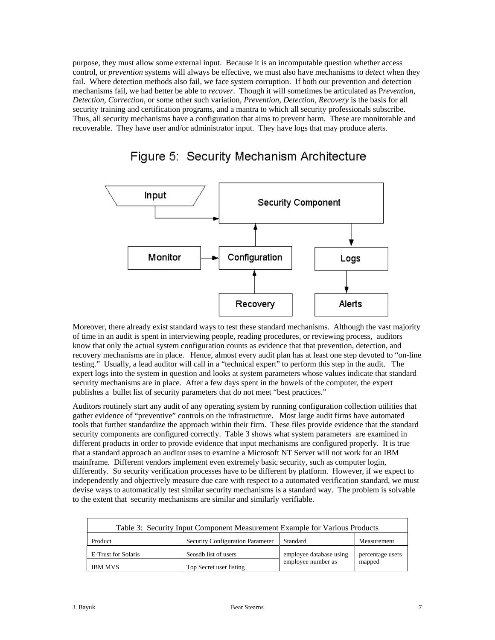purpose, they must allow some external input. Because it is an incomputable question whether access control, or *prevention* systems will always be effective, we must also have mechanisms to *detect* when they fail. Where detection methods also fail, we face system corruption. If both our prevention and detection mechanisms fail, we had better be able to *recover*. Though it will sometimes be articulated as P*revention, Detection, Correction*, or some other such variation, *Prevention, Detection, Recovery* is the basis for all security training and certification programs, and a mantra to which all security professionals subscribe. Thus, all security mechanisms have a configuration that aims to prevent harm. These are monitorable and recoverable. They have user and/or administrator input. They have logs that may produce alerts.



## Figure 5: Security Mechanism Architecture

Moreover, there already exist standard ways to test these standard mechanisms. Although the vast majority of time in an audit is spent in interviewing people, reading procedures, or reviewing process, auditors know that only the actual system configuration counts as evidence that that prevention, detection, and recovery mechanisms are in place. Hence, almost every audit plan has at least one step devoted to "on-line testing." Usually, a lead auditor will call in a "technical expert" to perform this step in the audit. The expert logs into the system in question and looks at system parameters whose values indicate that standard security mechanisms are in place. After a few days spent in the bowels of the computer, the expert publishes a bullet list of security parameters that do not meet "best practices."

Auditors routinely start any audit of any operating system by running configuration collection utilities that gather evidence of "preventive" controls on the infrastructure. Most large audit firms have automated tools that further standardize the approach within their firm. These files provide evidence that the standard security components are configured correctly. Table 3 shows what system parameters are examined in different products in order to provide evidence that input mechanisms are configured properly. It is true that a standard approach an auditor uses to examine a Microsoft NT Server will not work for an IBM mainframe. Different vendors implement even extremely basic security, such as computer login, differently. So security verification processes have to be different by platform. However, if we expect to independently and objectively measure due care with respect to a automated verification standard, we must devise ways to automatically test similar security mechanisms is a standard way. The problem is solvable to the extent that security mechanisms are similar and similarly verifiable.

| Table 3: Security Input Component Measurement Example for Various Products |                                  |                         |                  |  |
|----------------------------------------------------------------------------|----------------------------------|-------------------------|------------------|--|
| Product                                                                    | Security Configuration Parameter | Standard                | Measurement      |  |
| E-Trust for Solaris                                                        | Seosdb list of users             | employee database using | percentage users |  |
| <b>IBM MVS</b>                                                             | Top Secret user listing          | employee number as      | mapped           |  |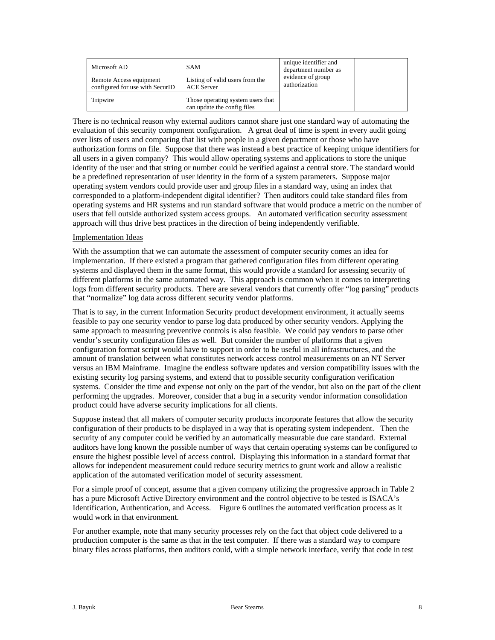| Microsoft AD                                               | <b>SAM</b>                                                       | unique identifier and<br>department number as |  |
|------------------------------------------------------------|------------------------------------------------------------------|-----------------------------------------------|--|
| Remote Access equipment<br>configured for use with SecurID | Listing of valid users from the<br><b>ACE Server</b>             | evidence of group<br>authorization            |  |
| Tripwire                                                   | Those operating system users that<br>can update the config files |                                               |  |

There is no technical reason why external auditors cannot share just one standard way of automating the evaluation of this security component configuration. A great deal of time is spent in every audit going over lists of users and comparing that list with people in a given department or those who have authorization forms on file. Suppose that there was instead a best practice of keeping unique identifiers for all users in a given company? This would allow operating systems and applications to store the unique identity of the user and that string or number could be verified against a central store. The standard would be a predefined representation of user identity in the form of a system parameters. Suppose major operating system vendors could provide user and group files in a standard way, using an index that corresponded to a platform-independent digital identifier? Then auditors could take standard files from operating systems and HR systems and run standard software that would produce a metric on the number of users that fell outside authorized system access groups. An automated verification security assessment approach will thus drive best practices in the direction of being independently verifiable.

### Implementation Ideas

With the assumption that we can automate the assessment of computer security comes an idea for implementation. If there existed a program that gathered configuration files from different operating systems and displayed them in the same format, this would provide a standard for assessing security of different platforms in the same automated way. This approach is common when it comes to interpreting logs from different security products. There are several vendors that currently offer "log parsing" products that "normalize" log data across different security vendor platforms.

That is to say, in the current Information Security product development environment, it actually seems feasible to pay one security vendor to parse log data produced by other security vendors. Applying the same approach to measuring preventive controls is also feasible. We could pay vendors to parse other vendor's security configuration files as well. But consider the number of platforms that a given configuration format script would have to support in order to be useful in all infrastructures, and the amount of translation between what constitutes network access control measurements on an NT Server versus an IBM Mainframe. Imagine the endless software updates and version compatibility issues with the existing security log parsing systems, and extend that to possible security configuration verification systems. Consider the time and expense not only on the part of the vendor, but also on the part of the client performing the upgrades. Moreover, consider that a bug in a security vendor information consolidation product could have adverse security implications for all clients.

Suppose instead that all makers of computer security products incorporate features that allow the security configuration of their products to be displayed in a way that is operating system independent. Then the security of any computer could be verified by an automatically measurable due care standard. External auditors have long known the possible number of ways that certain operating systems can be configured to ensure the highest possible level of access control. Displaying this information in a standard format that allows for independent measurement could reduce security metrics to grunt work and allow a realistic application of the automated verification model of security assessment.

For a simple proof of concept, assume that a given company utilizing the progressive approach in Table 2 has a pure Microsoft Active Directory environment and the control objective to be tested is ISACA's Identification, Authentication, and Access. Figure 6 outlines the automated verification process as it would work in that environment.

For another example, note that many security processes rely on the fact that object code delivered to a production computer is the same as that in the test computer. If there was a standard way to compare binary files across platforms, then auditors could, with a simple network interface, verify that code in test